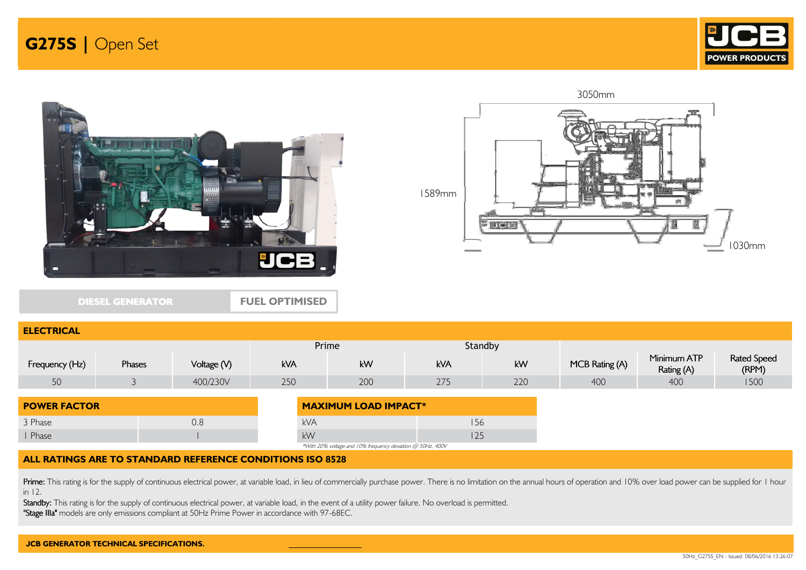



DIESEL GENERATOR

ELECTRICAL

FUEL OPTIMISED



| LLLVIINVAL          |        |             |                             |                                                            |            |         |                |                           |                             |
|---------------------|--------|-------------|-----------------------------|------------------------------------------------------------|------------|---------|----------------|---------------------------|-----------------------------|
|                     |        |             |                             | Prime                                                      |            | Standby |                |                           |                             |
| Frequency (Hz)      | Phases | Voltage (V) | kVA                         | kW                                                         | <b>kVA</b> | kW      | MCB Rating (A) | Minimum ATP<br>Rating (A) | <b>Rated Speed</b><br>(RPM) |
| 50                  |        | 400/230V    | 250                         | 200                                                        | 275        | 220     | 400            | 400                       | 1500                        |
| <b>POWER FACTOR</b> |        |             | <b>MAXIMUM LOAD IMPACT*</b> |                                                            |            |         |                |                           |                             |
| 3 Phase             |        | 0.8         | <b>kVA</b>                  |                                                            | 156        |         |                |                           |                             |
| Phase               |        |             | kW                          |                                                            | 125        |         |                |                           |                             |
|                     |        |             |                             | *With 20% voltage and 10% frequency deviation @ 50Hz, 400V |            |         |                |                           |                             |

### ALL RATINGS ARE TO STANDARD REFERENCE CONDITIONS ISO 8528

Prime: This rating is for the supply of continuous electrical power, at variable load, in lieu of commercially purchase power. There is no limitation on the annual hours of operation and 10% over load power can be supplied in 12.

Standby: This rating is for the supply of continuous electrical power, at variable load, in the event of a utility power failure. No overload is permitted.

"Stage IIIa" models are only emissions compliant at 50Hz Prime Power in accordance with 97-68EC.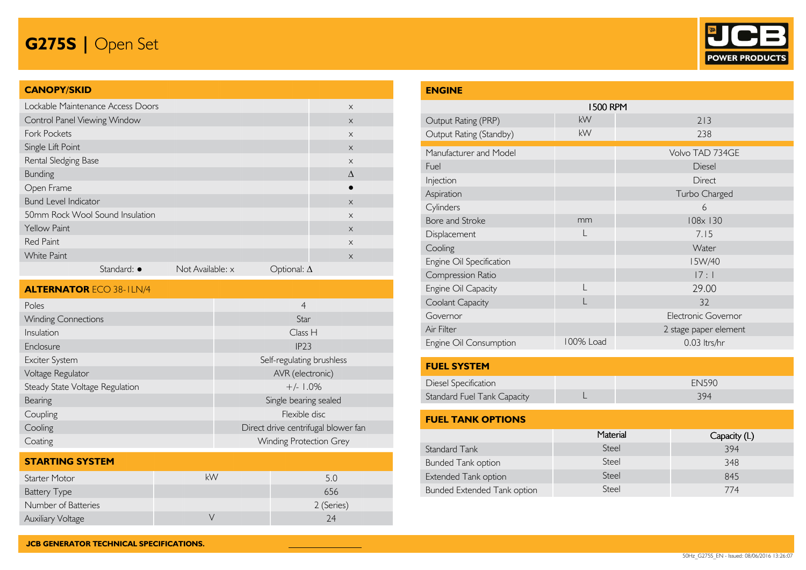

### CANOPY/SKID

| Lockable Maintenance Access Doors |                     |                  |                    | $\times$  |
|-----------------------------------|---------------------|------------------|--------------------|-----------|
| Control Panel Viewing Window      |                     |                  |                    | $\times$  |
| <b>Fork Pockets</b>               |                     |                  |                    | $\times$  |
| Single Lift Point                 |                     |                  |                    | $\times$  |
| Rental Sledging Base              |                     |                  |                    | $\times$  |
| <b>Bunding</b>                    |                     |                  |                    | $\Lambda$ |
| Open Frame                        |                     |                  |                    |           |
| <b>Bund Level Indicator</b>       |                     |                  |                    | $\times$  |
| 50mm Rock Wool Sound Insulation   |                     |                  |                    | $\times$  |
| <b>Yellow Paint</b>               |                     |                  |                    | $\times$  |
| <b>Red Paint</b>                  |                     |                  |                    | $\times$  |
| <b>White Paint</b>                |                     |                  |                    | $\times$  |
|                                   | Standard: $\bullet$ | Not Available: x | Optional: $\Delta$ |           |

| <b>ALTERNATOR ECO 38-ILN/4</b>  |                                     |  |  |  |  |  |
|---------------------------------|-------------------------------------|--|--|--|--|--|
| Poles                           | $\overline{4}$                      |  |  |  |  |  |
| <b>Winding Connections</b>      | Star                                |  |  |  |  |  |
| Insulation                      | Class H                             |  |  |  |  |  |
| Enclosure                       | IP23                                |  |  |  |  |  |
| Exciter System                  | Self-regulating brushless           |  |  |  |  |  |
| Voltage Regulator               | AVR (electronic)                    |  |  |  |  |  |
| Steady State Voltage Regulation | $+/- 1.0\%$                         |  |  |  |  |  |
| Bearing                         | Single bearing sealed               |  |  |  |  |  |
| Coupling                        | Flexible disc                       |  |  |  |  |  |
| Cooling                         | Direct drive centrifugal blower fan |  |  |  |  |  |
| Coating                         | <b>Winding Protection Grey</b>      |  |  |  |  |  |

| <b>STARTING SYSTEM</b>   |    |            |
|--------------------------|----|------------|
| Starter Motor            | kW | 5.0        |
| <b>Battery Type</b>      |    | 656        |
| Number of Batteries      |    | 2 (Series) |
| <b>Auxiliary Voltage</b> |    | 24         |

| <b>ENGINE</b>               |                 |                       |  |  |  |  |
|-----------------------------|-----------------|-----------------------|--|--|--|--|
|                             | <b>1500 RPM</b> |                       |  |  |  |  |
| Output Rating (PRP)         | kW              | 213                   |  |  |  |  |
| Output Rating (Standby)     | kW              | 238                   |  |  |  |  |
| Manufacturer and Model      |                 | Volvo TAD 734GE       |  |  |  |  |
| Fuel                        |                 | Diesel                |  |  |  |  |
| Injection                   |                 | <b>Direct</b>         |  |  |  |  |
| Aspiration                  |                 | Turbo Charged         |  |  |  |  |
| Cylinders                   |                 | 6                     |  |  |  |  |
| Bore and Stroke             | mm              | 108x 130              |  |  |  |  |
| Displacement                |                 | 7.15                  |  |  |  |  |
| Cooling                     |                 | Water                 |  |  |  |  |
| Engine Oil Specification    |                 | I5W/40                |  |  |  |  |
| Compression Ratio           |                 | 17:1                  |  |  |  |  |
| Engine Oil Capacity         | L               | 29.00                 |  |  |  |  |
| Coolant Capacity            |                 | 32                    |  |  |  |  |
| Governor                    |                 | Electronic Governor   |  |  |  |  |
| Air Filter                  |                 | 2 stage paper element |  |  |  |  |
| Engine Oil Consumption      | 100% Load       | 0.03 ltrs/hr          |  |  |  |  |
| <b>FUEL SYSTEM</b>          |                 |                       |  |  |  |  |
| Diesel Specification        |                 | <b>EN590</b>          |  |  |  |  |
| Standard Fuel Tank Capacity | L               | 394                   |  |  |  |  |
| <b>FUEL TANK OPTIONS</b>    |                 |                       |  |  |  |  |

|                                    | Material | Capacity (L) |
|------------------------------------|----------|--------------|
| Standard Tank                      | Steel    | 394          |
| <b>Bunded Tank option</b>          | Steel    | 348          |
| Extended Tank option               | Steel    | 845          |
| <b>Bunded Extended Tank option</b> | Steel    | 774          |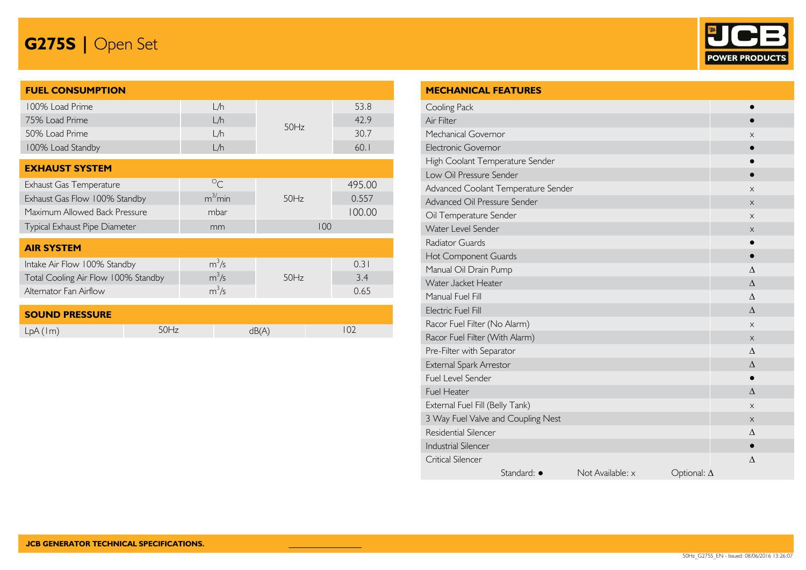

| <b>FUEL CONSUMPTION</b>             |             |      |        |
|-------------------------------------|-------------|------|--------|
| 100% Load Prime                     | L/h         |      | 53.8   |
| 75% Load Prime                      | L/h         | 50Hz | 42.9   |
| 50% Load Prime                      | L/h         |      | 30.7   |
| 100% Load Standby                   | L/h         |      | 60.1   |
| <b>EXHAUST SYSTEM</b>               |             |      |        |
| Exhaust Gas Temperature             | $\circ_{C}$ |      | 495.00 |
| Exhaust Gas Flow 100% Standby       | $m^3/m$ in  | 50Hz | 0.557  |
| Maximum Allowed Back Pressure       | mbar        |      | 100.00 |
| Typical Exhaust Pipe Diameter       | mm          | 100  |        |
| <b>AIR SYSTEM</b>                   |             |      |        |
| Intake Air Flow 100% Standby        | $m^3/s$     |      | 0.31   |
| Total Cooling Air Flow 100% Standby | $m^3/s$     | 50Hz | 3.4    |
| Alternator Fan Airflow              | $m^3/s$     |      | 0.65   |
| <b>SOUND PRESSURE</b>               |             |      |        |

LpA (1m) 50Hz dB(A) 102

| <b>MECHANICAL FEATURES</b>          |                  |                    |           |
|-------------------------------------|------------------|--------------------|-----------|
| Cooling Pack                        |                  |                    |           |
| Air Filter                          |                  |                    |           |
| Mechanical Governor                 |                  |                    | X         |
| <b>Electronic Governor</b>          |                  |                    |           |
| High Coolant Temperature Sender     |                  |                    |           |
| Low Oil Pressure Sender             |                  |                    |           |
| Advanced Coolant Temperature Sender |                  |                    | X         |
| Advanced Oil Pressure Sender        |                  |                    | $\times$  |
| Oil Temperature Sender              |                  |                    | X         |
| Water Level Sender                  |                  |                    | X         |
| <b>Radiator Guards</b>              |                  |                    |           |
| Hot Component Guards                |                  |                    |           |
| Manual Oil Drain Pump               |                  |                    | Δ         |
| Water Jacket Heater                 |                  |                    | $\Lambda$ |
| Manual Fuel Fill                    | $\Lambda$        |                    |           |
| <b>Electric Fuel Fill</b>           | $\Lambda$        |                    |           |
| Racor Fuel Filter (No Alarm)        |                  | X                  |           |
| Racor Fuel Filter (With Alarm)      |                  |                    | X         |
| Pre-Filter with Separator           |                  |                    | $\wedge$  |
| External Spark Arrestor             |                  |                    | $\Lambda$ |
| Fuel Level Sender                   |                  |                    |           |
| <b>Fuel Heater</b>                  |                  |                    | $\Lambda$ |
| External Fuel Fill (Belly Tank)     | $\times$         |                    |           |
| 3 Way Fuel Valve and Coupling Nest  | X                |                    |           |
| Residential Silencer                | Δ                |                    |           |
| <b>Industrial Silencer</b>          |                  |                    | $\bullet$ |
| Critical Silencer                   |                  |                    | $\Delta$  |
| Standard: ·                         | Not Available: x | Optional: $\Delta$ |           |
|                                     |                  |                    |           |